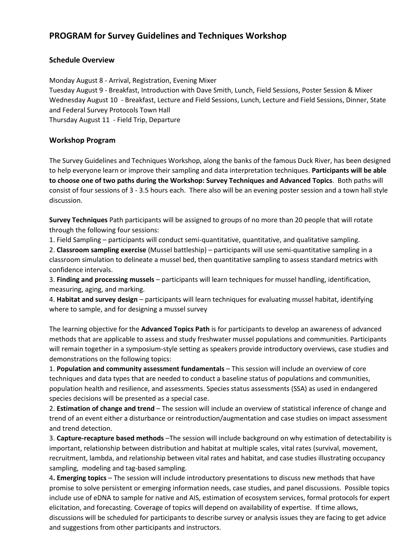## **PROGRAM for Survey Guidelines and Techniques Workshop**

## **Schedule Overview**

Monday August 8 - Arrival, Registration, Evening Mixer Tuesday August 9 - Breakfast, Introduction with Dave Smith, Lunch, Field Sessions, Poster Session & Mixer Wednesday August 10 - Breakfast, Lecture and Field Sessions, Lunch, Lecture and Field Sessions, Dinner, State and Federal Survey Protocols Town Hall Thursday August 11 - Field Trip, Departure

## **Workshop Program**

The Survey Guidelines and Techniques Workshop, along the banks of the famous Duck River, has been designed to help everyone learn or improve their sampling and data interpretation techniques. **Participants will be able to choose one of two paths during the Workshop: Survey Techniques and Advanced Topics**. Both paths will consist of four sessions of 3 - 3.5 hours each. There also will be an evening poster session and a town hall style discussion.

**Survey Techniques** Path participants will be assigned to groups of no more than 20 people that will rotate through the following four sessions:

1. Field Sampling – participants will conduct semi-quantitative, quantitative, and qualitative sampling.

2. **Classroom sampling exercise** (Mussel battleship) – participants will use semi-quantitative sampling in a classroom simulation to delineate a mussel bed, then quantitative sampling to assess standard metrics with confidence intervals.

3. **Finding and processing mussels** – participants will learn techniques for mussel handling, identification, measuring, aging, and marking.

4. **Habitat and survey design** – participants will learn techniques for evaluating mussel habitat, identifying where to sample, and for designing a mussel survey

The learning objective for the **Advanced Topics Path** is for participants to develop an awareness of advanced methods that are applicable to assess and study freshwater mussel populations and communities. Participants will remain together in a symposium-style setting as speakers provide introductory overviews, case studies and demonstrations on the following topics:

1. **Population and community assessment fundamentals** – This session will include an overview of core techniques and data types that are needed to conduct a baseline status of populations and communities, population health and resilience, and assessments. Species status assessments (SSA) as used in endangered species decisions will be presented as a special case.

2. **Estimation of change and trend** – The session will include an overview of statistical inference of change and trend of an event either a disturbance or reintroduction/augmentation and case studies on impact assessment and trend detection.

3. **Capture-recapture based methods** –The session will include background on why estimation of detectability is important, relationship between distribution and habitat at multiple scales, vital rates (survival, movement, recruitment, lambda, and relationship between vital rates and habitat, and case studies illustrating occupancy sampling, modeling and tag-based sampling.

4**. Emerging topics** – The session will include introductory presentations to discuss new methods that have promise to solve persistent or emerging information needs, case studies, and panel discussions. Possible topics include use of eDNA to sample for native and AIS, estimation of ecosystem services, formal protocols for expert elicitation, and forecasting. Coverage of topics will depend on availability of expertise. If time allows, discussions will be scheduled for participants to describe survey or analysis issues they are facing to get advice and suggestions from other participants and instructors.